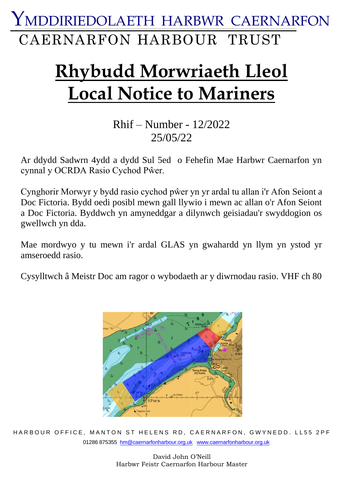CAERNARFON HARBOUR TRUST YMDDIRIEDOLAETH HARBWR CAERNARFON

# **Rhybudd Morwriaeth Lleol Local Notice to Mariners**

#### Rhif – Number - 12/2022 25/05/22

Ar ddydd Sadwrn 4ydd a dydd Sul 5ed o Fehefin Mae Harbwr Caernarfon yn cynnal y OCRDA Rasio Cychod Pŵer.

Cynghorir Morwyr y bydd rasio cychod pŵer yn yr ardal tu allan i'r Afon Seiont a Doc Fictoria. Bydd oedi posibl mewn gall llywio i mewn ac allan o'r Afon Seiont a Doc Fictoria. Byddwch yn amyneddgar a dilynwch geisiadau'r swyddogion os gwellwch yn dda.

Mae mordwyo y tu mewn i'r ardal GLAS yn gwahardd yn llym yn ystod yr amseroedd rasio.

Cysylltwch â Meistr Doc am ragor o wybodaeth ar y diwrnodau rasio. VHF ch 80



HARBOUR OFFICE, MANTON ST HELENS RD, CAERNARFON, GWYNEDD. LL55 2PF 01286 875355 [hm@caernarfonharbour.org.uk](mailto:hm@caernarfonharbour.org.uk) [www.caernarfonharbour.org.uk](http://www.caernarfonharbour.org.uk/)

> David John O'Neill Harbwr Feistr Caernarfon Harbour Master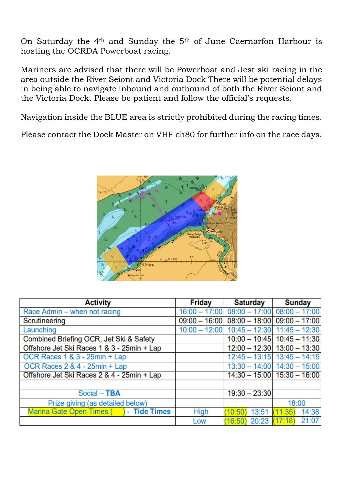On Saturday the 4th and Sunday the 5th of June Caernarfon Harbour is hosting the OCRDA Powerboat racing.

Mariners are advised that there will be Powerboat and Jest ski racing in the area outside the River Seiont and Victoria Dock There will be potential delays in being able to navigate inbound and outbound of both the River Seiont and the Victoria Dock. Please be patient and follow the official's requests.

Navigation inside the BLUE area is strictly prohibited during the racing times.

Please contact the Dock Master on VHF ch80 for further info on the race days.



| <b>Activity</b>                            | <b>Friday</b>   | <b>Saturday</b>        | <b>Sunday</b>                               |
|--------------------------------------------|-----------------|------------------------|---------------------------------------------|
| Race Admin - when not racing               |                 |                        | $16:00 - 17:00$ 08:00 - 17:00 08:00 - 17:00 |
| Scrutineering                              | $09:00 - 16:00$ |                        | $08:00 - 18:00$ 09:00 - 17:00               |
| Launching                                  |                 |                        | $10:00 - 12:00$ 10:45 - 12:30 11:45 - 12:30 |
| Combined Briefing OCR, Jet Ski & Safety    |                 |                        | $10:00 - 10:45$ 10:45 - 11:30               |
| Offshore Jet Ski Races 1 & 3 - 25min + Lap |                 |                        | $12:00 - 12:30$ 13:00 - 13:30               |
| OCR Races 1 & 3 - 25min + Lap              |                 |                        | $12:45 - 13:15$ 13:45 - 14:15               |
| OCR Races 2 & 4 - 25min + Lap              |                 |                        | $13:30 - 14:00$ $14:30 - 15:00$             |
| Offshore Jet Ski Races 2 & 4 - 25min + Lap |                 |                        | $14:30 - 15:00$ 15:30 - 16:00               |
|                                            |                 |                        |                                             |
| Social - TBA                               |                 | $19:30 - 23:30$        |                                             |
| Prize giving (as detailed below)           |                 |                        | 18:00                                       |
| Marina Gate Open Times () - Tide Times     | <b>High</b>     | 13:51<br>10:50         | (11:35)<br>14:38                            |
|                                            | Low             | 20:23 (17:18)<br>16:50 | 21:07                                       |